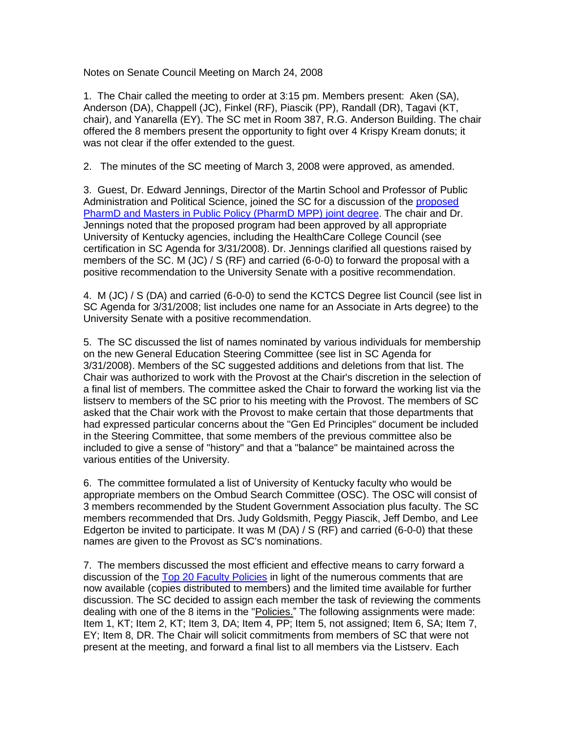Notes on Senate Council Meeting on March 24, 2008

1. The Chair called the meeting to order at 3:15 pm. Members present: Aken (SA), Anderson (DA), Chappell (JC), Finkel (RF), Piascik (PP), Randall (DR), Tagavi (KT, chair), and Yanarella (EY). The SC met in Room 387, R.G. Anderson Building. The chair offered the 8 members present the opportunity to fight over 4 Krispy Kream donuts; it was not clear if the offer extended to the guest.

2. The minutes of the SC meeting of March 3, 2008 were approved, as amended.

3. Guest, Dr. Edward Jennings, Director of the Martin School and Professor of Public Administration and Political Science, joined the SC for a discussion of the [proposed](http://www.uky.edu/USC/New/files/2008_3-24_3-31_4-7_4-24/PharmD&MPP%20Dual%20Deg%20-%20New%20Program.pdf) [PharmD and Masters in Public Policy \(PharmD MPP\) joint degree.](http://www.uky.edu/USC/New/files/2008_3-24_3-31_4-7_4-24/PharmD&MPP%20Dual%20Deg%20-%20New%20Program.pdf) The chair and Dr. Jennings noted that the proposed program had been approved by all appropriate University of Kentucky agencies, including the HealthCare College Council (see certification in SC Agenda for 3/31/2008). Dr. Jennings clarified all questions raised by members of the SC. M (JC) / S (RF) and carried (6-0-0) to forward the proposal with a positive recommendation to the University Senate with a positive recommendation.

4. M (JC) / S (DA) and carried (6-0-0) to send the KCTCS Degree list Council (see list in SC Agenda for 3/31/2008; list includes one name for an Associate in Arts degree) to the University Senate with a positive recommendation.

5. The SC discussed the list of names nominated by various individuals for membership on the new General Education Steering Committee (see list in SC Agenda for 3/31/2008). Members of the SC suggested additions and deletions from that list. The Chair was authorized to work with the Provost at the Chair's discretion in the selection of a final list of members. The committee asked the Chair to forward the working list via the listserv to members of the SC prior to his meeting with the Provost. The members of SC asked that the Chair work with the Provost to make certain that those departments that had expressed particular concerns about the "Gen Ed Principles" document be included in the Steering Committee, that some members of the previous committee also be included to give a sense of "history" and that a "balance" be maintained across the various entities of the University.

6. The committee formulated a list of University of Kentucky faculty who would be appropriate members on the Ombud Search Committee (OSC). The OSC will consist of 3 members recommended by the Student Government Association plus faculty. The SC members recommended that Drs. Judy Goldsmith, Peggy Piascik, Jeff Dembo, and Lee Edgerton be invited to participate. It was M (DA) / S (RF) and carried (6-0-0) that these names are given to the Provost as SC's nominations.

7. The members discussed the most efficient and effective means to carry forward a discussion of the [Top 20 Faculty Policies](http://www.uky.edu/USC/New/files/2008_3-24_3-31_4-7_4-24/Top%2020%20Faculty%20Policies%20-%20procedural%20and%20process%20issues%20(version%201-30-08).pdf) in light of the numerous comments that are now available (copies distributed to members) and the limited time available for further discussion. The SC decided to assign each member the task of reviewing the comments dealing with one of the 8 items in the "Policies." The following assignments were made: Item 1, KT; Item 2, KT; Item 3, DA; Item 4, PP; Item 5, not assigned; Item 6, SA; Item 7, EY; Item 8, DR. The Chair will solicit commitments from members of SC that were not present at the meeting, and forward a final list to all members via the Listserv. Each